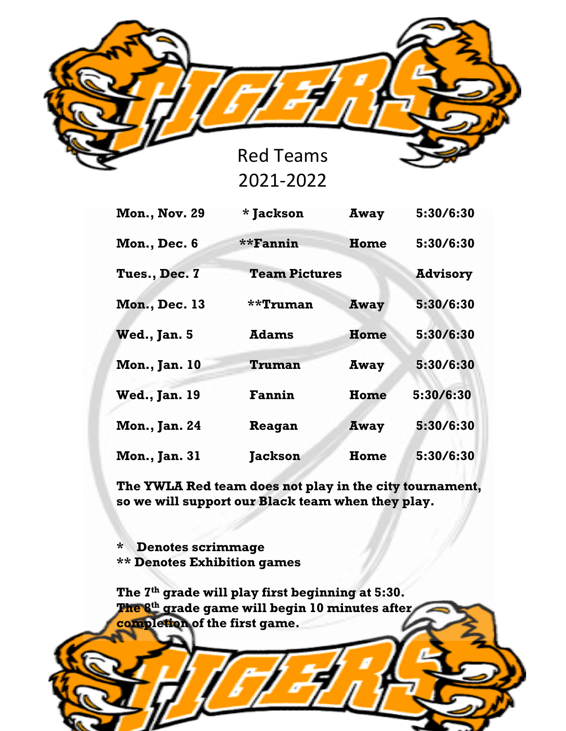

**Mon., Nov. 29 \* Jackson Away 5:30/6:30 Mon., Dec. 6 \*\*Fannin Home 5:30/6:30 Tues., Dec. 7 Team Pictures Advisory Mon., Dec. 13 \*\*Truman Away 5:30/6:30 Wed., Jan. 5 Adams Home 5:30/6:30 Mon., Jan. 10 Truman Away 5:30/6:30 Wed., Jan. 19 Fannin Home 5:30/6:30 Mon., Jan. 24 Reagan Away 5:30/6:30 Mon., Jan. 31 Jackson Home 5:30/6:30**

**The YWLA Red team does not play in the city tournament, so we will support our Black team when they play.**

**\* Denotes scrimmage \*\* Denotes Exhibition games**

**The 7th grade will play first beginning at 5:30. The 8th grade game will begin 10 minutes after completion of the first game.**